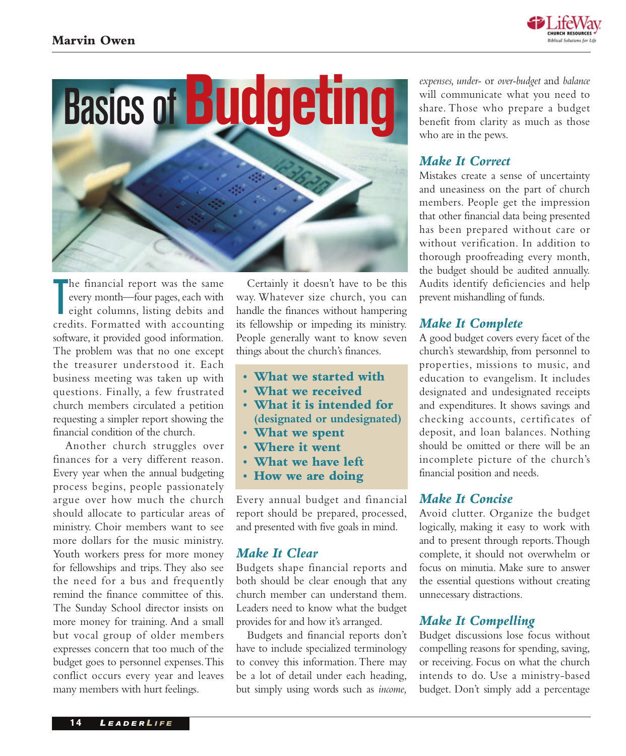



T he financial report was the same every month—four pages, each with eight columns, listing debits and credits. Formatted with accounting software, it provided good information. The problem was that no one except the treasurer understood it. Each business meeting was taken up with questions. Finally, a few frustrated church members circulated a petition requesting a simpler report showing the financial condition of the church.

Another church struggles over finances for a very different reason. Every year when the annual budgeting process begins, people passionately argue over how much the church should allocate to particular areas of ministry. Choir members want to see more dollars for the music ministry. Youth workers press for more money for fellowships and trips. They also see the need for a bus and frequently remind the finance committee of this. The Sunday School director insists on more money for training. And a small but vocal group of older members expresses concern that too much of the budget goes to personnel expenses.This conflict occurs every year and leaves many members with hurt feelings.

Certainly it doesn't have to be this way. Whatever size church, you can handle the finances without hampering its fellowship or impeding its ministry. People generally want to know seven things about the church's finances.

- **• What we started with**
- **• What we received**
- **What it is intended for (designated or undesignated)**
- **• What we spent**
- **• Where it went**
- **• What we have left**
- **How we are doing**

Every annual budget and financial report should be prepared, processed, and presented with five goals in mind.

# *Make It Clear*

Budgets shape financial reports and both should be clear enough that any church member can understand them. Leaders need to know what the budget provides for and how it's arranged.

Budgets and financial reports don't have to include specialized terminology to convey this information. There may be a lot of detail under each heading, but simply using words such as *income,*

*expenses, under-* or *over-budget* and *balance* will communicate what you need to share. Those who prepare a budget benefit from clarity as much as those who are in the pews.

# *Make It Correct*

Mistakes create a sense of uncertainty and uneasiness on the part of church members. People get the impression that other financial data being presented has been prepared without care or without verification. In addition to thorough proofreading every month, the budget should be audited annually. Audits identify deficiencies and help prevent mishandling of funds.

# *Make It Complete*

A good budget covers every facet of the church's stewardship, from personnel to properties, missions to music, and education to evangelism. It includes designated and undesignated receipts and expenditures. It shows savings and checking accounts, certificates of deposit, and loan balances. Nothing should be omitted or there will be an incomplete picture of the church's financial position and needs.

# *Make It Concise*

Avoid clutter. Organize the budget logically, making it easy to work with and to present through reports.Though complete, it should not overwhelm or focus on minutia. Make sure to answer the essential questions without creating unnecessary distractions.

# *Make It Compelling*

Budget discussions lose focus without compelling reasons for spending, saving, or receiving. Focus on what the church intends to do. Use a ministry-based budget. Don't simply add a percentage